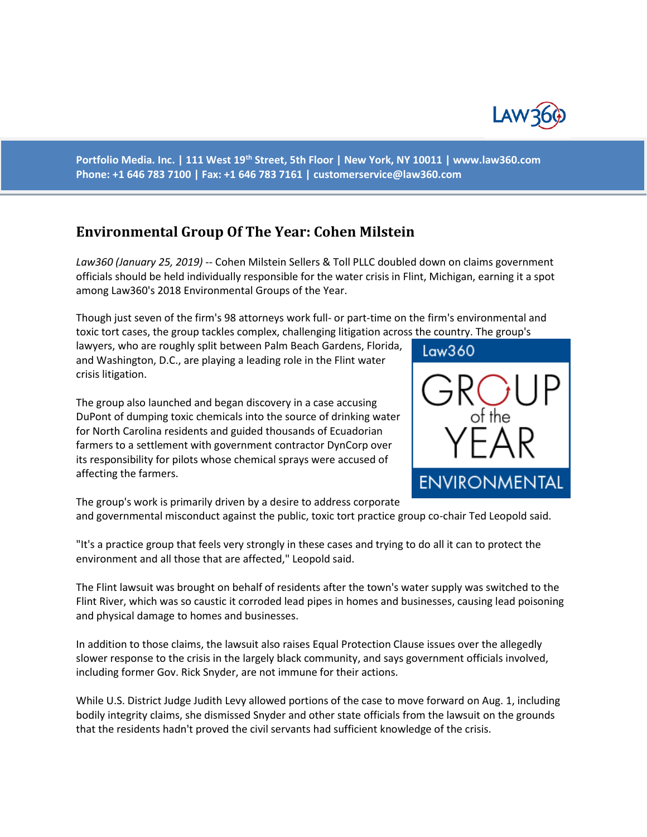

**Portfolio Media. Inc. | 111 West 19th Street, 5th Floor | New York, NY 10011 | www.law360.com Phone: +1 646 783 7100 | Fax: +1 646 783 7161 | [customerservice@law360.com](mailto:customerservice@law360.com)**

## **Environmental Group Of The Year: Cohen Milstein**

*Law360 (January 25, 2019)* -- Cohen Milstein Sellers & Toll PLLC doubled down on claims government officials should be held individually responsible for the water crisis in Flint, Michigan, earning it a spot among Law360's 2018 Environmental Groups of the Year.

Though just seven of the firm's 98 attorneys work full- or part-time on the firm's environmental and toxic tort cases, the group tackles complex, challenging litigation across the country. The group's

lawyers, who are roughly split between Palm Beach Gardens, Florida, and Washington, D.C., are playing a leading role in the Flint water crisis litigation.

The group also launched and began discovery in a case accusing DuPont of dumping toxic chemicals into the source of drinking water for North Carolina residents and guided thousands of Ecuadorian farmers to a settlement with government contractor DynCorp over its responsibility for pilots whose chemical sprays were accused of affecting the farmers.



The group's work is primarily driven by a desire to address corporate and governmental misconduct against the public, toxic tort practice group co-chair Ted Leopold said.

"It's a practice group that feels very strongly in these cases and trying to do all it can to protect the environment and all those that are affected," Leopold said.

The Flint lawsuit was brought on behalf of residents after the town's water supply was switched to the Flint River, which was so caustic it corroded lead pipes in homes and businesses, causing lead poisoning and physical damage to homes and businesses.

In addition to those claims, the lawsuit also raises Equal Protection Clause issues over the allegedly slower response to the crisis in the largely black community, and says government officials involved, including former Gov. Rick Snyder, are not immune for their actions.

While U.S. District Judge Judith Levy allowed portions of the case to move forward on Aug. 1, including bodily integrity claims, she dismissed Snyder and other state officials from the lawsuit on the grounds that the residents hadn't proved the civil servants had sufficient knowledge of the crisis.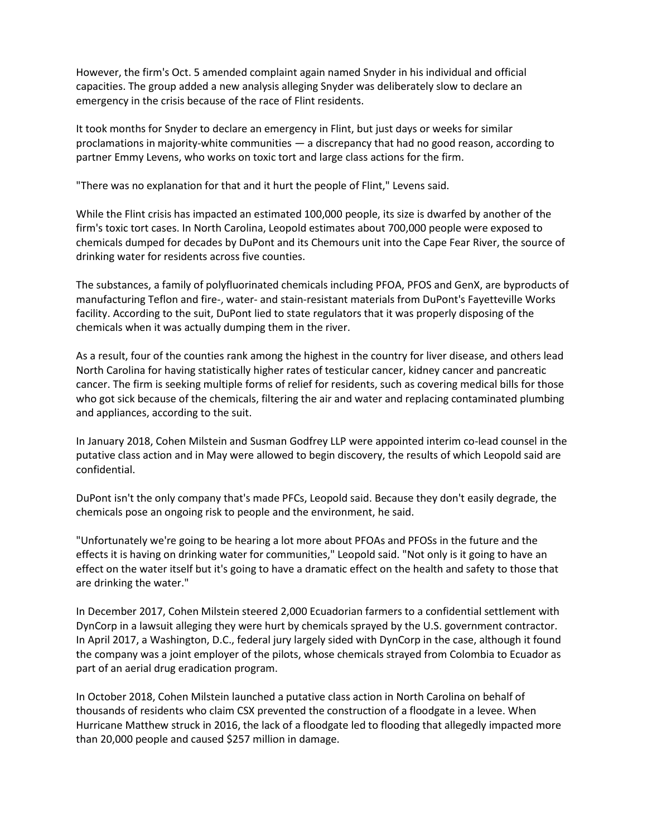However, the firm's Oct. 5 amended complaint again named Snyder in his individual and official capacities. The group added a new analysis alleging Snyder was deliberately slow to declare an emergency in the crisis because of the race of Flint residents.

It took months for Snyder to declare an emergency in Flint, but just days or weeks for similar proclamations in majority-white communities — a discrepancy that had no good reason, according to partner Emmy Levens, who works on toxic tort and large class actions for the firm.

"There was no explanation for that and it hurt the people of Flint," Levens said.

While the Flint crisis has impacted an estimated 100,000 people, its size is dwarfed by another of the firm's toxic tort cases. In North Carolina, Leopold estimates about 700,000 people were exposed to chemicals dumped for decades by DuPont and its Chemours unit into the Cape Fear River, the source of drinking water for residents across five counties.

The substances, a family of polyfluorinated chemicals including PFOA, PFOS and GenX, are byproducts of manufacturing Teflon and fire-, water- and stain-resistant materials from DuPont's Fayetteville Works facility. According to the suit, DuPont lied to state regulators that it was properly disposing of the chemicals when it was actually dumping them in the river.

As a result, four of the counties rank among the highest in the country for liver disease, and others lead North Carolina for having statistically higher rates of testicular cancer, kidney cancer and pancreatic cancer. The firm is seeking multiple forms of relief for residents, such as covering medical bills for those who got sick because of the chemicals, filtering the air and water and replacing contaminated plumbing and appliances, according to the suit.

In January 2018, Cohen Milstein and Susman Godfrey LLP were appointed interim co-lead counsel in the putative class action and in May were allowed to begin discovery, the results of which Leopold said are confidential.

DuPont isn't the only company that's made PFCs, Leopold said. Because they don't easily degrade, the chemicals pose an ongoing risk to people and the environment, he said.

"Unfortunately we're going to be hearing a lot more about PFOAs and PFOSs in the future and the effects it is having on drinking water for communities," Leopold said. "Not only is it going to have an effect on the water itself but it's going to have a dramatic effect on the health and safety to those that are drinking the water."

In December 2017, Cohen Milstein steered 2,000 Ecuadorian farmers to a confidential settlement with DynCorp in a lawsuit alleging they were hurt by chemicals sprayed by the U.S. government contractor. In April 2017, a Washington, D.C., federal jury largely sided with DynCorp in the case, although it found the company was a joint employer of the pilots, whose chemicals strayed from Colombia to Ecuador as part of an aerial drug eradication program.

In October 2018, Cohen Milstein launched a putative class action in North Carolina on behalf of thousands of residents who claim CSX prevented the construction of a floodgate in a levee. When Hurricane Matthew struck in 2016, the lack of a floodgate led to flooding that allegedly impacted more than 20,000 people and caused \$257 million in damage.